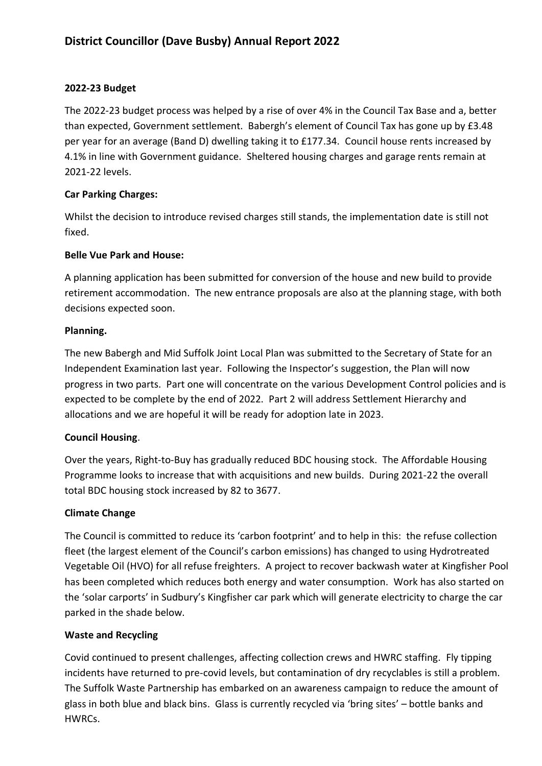### **2022-23 Budget**

The 2022-23 budget process was helped by a rise of over 4% in the Council Tax Base and a, better than expected, Government settlement. Babergh's element of Council Tax has gone up by £3.48 per year for an average (Band D) dwelling taking it to £177.34. Council house rents increased by 4.1% in line with Government guidance. Sheltered housing charges and garage rents remain at 2021-22 levels.

# **Car Parking Charges:**

Whilst the decision to introduce revised charges still stands, the implementation date is still not fixed.

# **Belle Vue Park and House:**

A planning application has been submitted for conversion of the house and new build to provide retirement accommodation. The new entrance proposals are also at the planning stage, with both decisions expected soon.

### **Planning.**

The new Babergh and Mid Suffolk Joint Local Plan was submitted to the Secretary of State for an Independent Examination last year. Following the Inspector's suggestion, the Plan will now progress in two parts. Part one will concentrate on the various Development Control policies and is expected to be complete by the end of 2022. Part 2 will address Settlement Hierarchy and allocations and we are hopeful it will be ready for adoption late in 2023.

### **Council Housing**.

Over the years, Right-to-Buy has gradually reduced BDC housing stock. The Affordable Housing Programme looks to increase that with acquisitions and new builds. During 2021-22 the overall total BDC housing stock increased by 82 to 3677.

# **Climate Change**

The Council is committed to reduce its 'carbon footprint' and to help in this: the refuse collection fleet (the largest element of the Council's carbon emissions) has changed to using Hydrotreated Vegetable Oil (HVO) for all refuse freighters. A project to recover backwash water at Kingfisher Pool has been completed which reduces both energy and water consumption. Work has also started on the 'solar carports' in Sudbury's Kingfisher car park which will generate electricity to charge the car parked in the shade below.

### **Waste and Recycling**

Covid continued to present challenges, affecting collection crews and HWRC staffing. Fly tipping incidents have returned to pre-covid levels, but contamination of dry recyclables is still a problem. The Suffolk Waste Partnership has embarked on an awareness campaign to reduce the amount of glass in both blue and black bins. Glass is currently recycled via 'bring sites' – bottle banks and HWRCs.